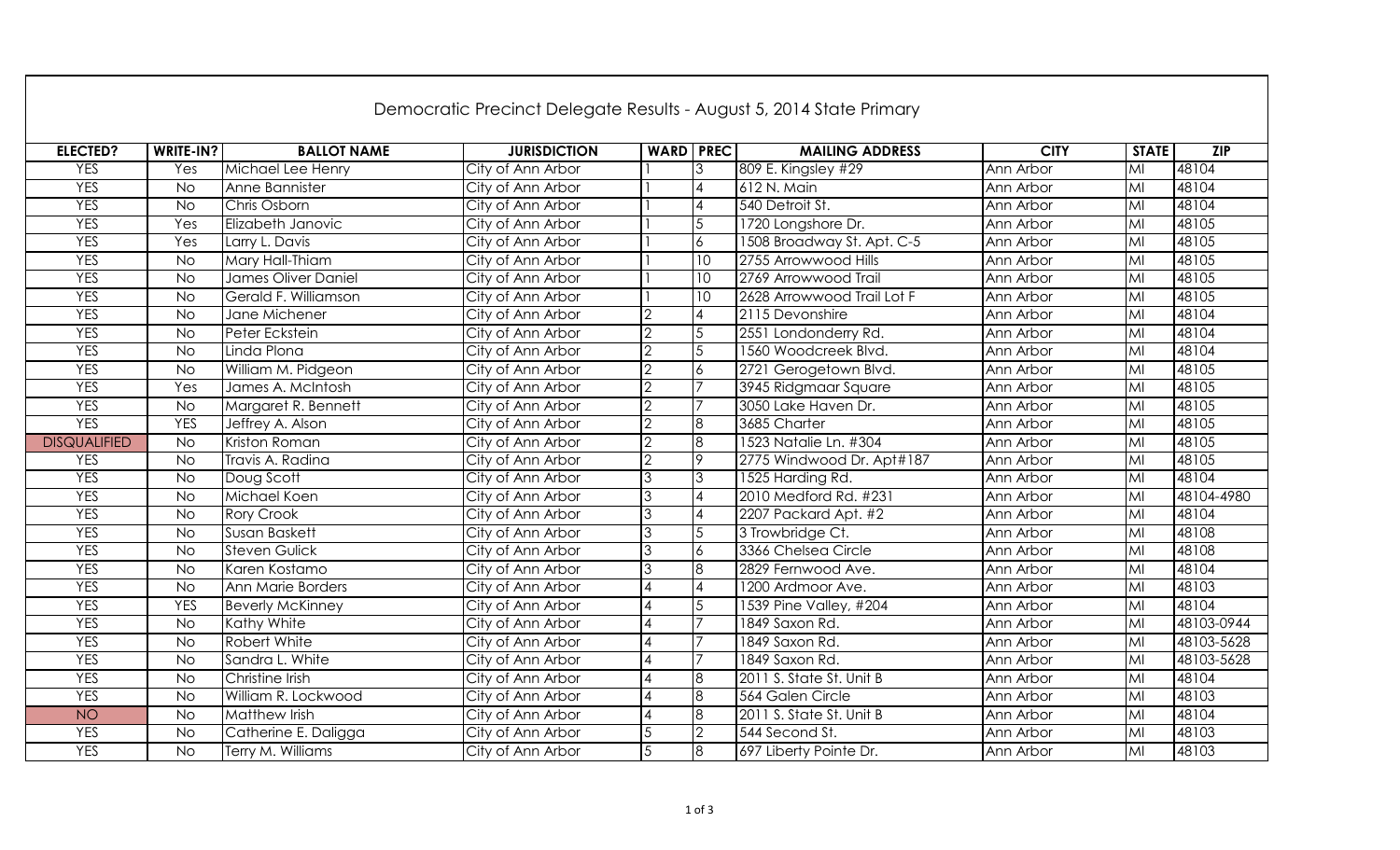| Democratic Precinct Delegate Results - August 5, 2014 State Primary |                |                         |                     |                             |                        |                            |             |                         |            |
|---------------------------------------------------------------------|----------------|-------------------------|---------------------|-----------------------------|------------------------|----------------------------|-------------|-------------------------|------------|
| <b>ELECTED?</b>                                                     | WRITE-IN?      | <b>BALLOT NAME</b>      | <b>JURISDICTION</b> | <b>WARD PREC</b>            |                        | <b>MAILING ADDRESS</b>     | <b>CITY</b> | <b>STATE</b>            | ZIP        |
| <b>YES</b>                                                          | Yes            | Michael Lee Henry       | City of Ann Arbor   |                             |                        | 809 E. Kingsley #29        | Ann Arbor   | MI                      | 48104      |
| <b>YES</b>                                                          | <b>No</b>      | Anne Bannister          | City of Ann Arbor   |                             |                        | 612 N. Main                | Ann Arbor   | $\overline{M}$          | 48104      |
| <b>YES</b>                                                          | <b>No</b>      | Chris Osborn            | City of Ann Arbor   |                             |                        | 540 Detroit St.            | Ann Arbor   | $\overline{\mathsf{M}}$ | 48104      |
| <b>YES</b>                                                          | Yes            | Elizabeth Janovic       | City of Ann Arbor   |                             | 5                      | 1720 Longshore Dr.         | Ann Arbor   | $\overline{\mathsf{M}}$ | 48105      |
| <b>YES</b>                                                          | Yes            | Larry L. Davis          | City of Ann Arbor   |                             | 6                      | 1508 Broadway St. Apt. C-5 | Ann Arbor   | $\overline{\mathsf{M}}$ | 48105      |
| <b>YES</b>                                                          | <b>No</b>      | Mary Hall-Thiam         | City of Ann Arbor   |                             | 10                     | 2755 Arrowwood Hills       | Ann Arbor   | $\overline{M}$          | 48105      |
| <b>YES</b>                                                          | $\overline{N}$ | James Oliver Daniel     | City of Ann Arbor   |                             | $\overline{10}$        | 2769 Arrowwood Trail       | Ann Arbor   | $\overline{M}$          | 48105      |
| <b>YES</b>                                                          | <b>No</b>      | Gerald F. Williamson    | City of Ann Arbor   |                             | 10                     | 2628 Arrowwood Trail Lot F | Ann Arbor   | MI                      | 48105      |
| <b>YES</b>                                                          | <b>No</b>      | Jane Michener           | City of Ann Arbor   | $\overline{2}$              | $\boldsymbol{\Lambda}$ | 2115 Devonshire            | Ann Arbor   | $\overline{M}$          | 48104      |
| <b>YES</b>                                                          | <b>No</b>      | Peter Eckstein          | City of Ann Arbor   | $\overline{2}$              | 5                      | 2551 Londonderry Rd.       | Ann Arbor   | $\overline{\mathsf{M}}$ | 48104      |
| <b>YES</b>                                                          | <b>No</b>      | Linda Plona             | City of Ann Arbor   | $\overline{2}$              | 5                      | 1560 Woodcreek Blvd.       | Ann Arbor   | MI                      | 48104      |
| <b>YES</b>                                                          | <b>No</b>      | William M. Pidgeon      | City of Ann Arbor   | $\overline{2}$              | 6                      | 2721 Gerogetown Blvd.      | Ann Arbor   | $\overline{\mathsf{M}}$ | 48105      |
| <b>YES</b>                                                          | Yes            | James A. McIntosh       | City of Ann Arbor   | $\overline{2}$              |                        | 3945 Ridgmaar Square       | Ann Arbor   | $\overline{\mathsf{M}}$ | 48105      |
| <b>YES</b>                                                          | <b>No</b>      | Margaret R. Bennett     | City of Ann Arbor   | $\overline{2}$              |                        | 3050 Lake Haven Dr.        | Ann Arbor   | $\overline{M}$          | 48105      |
| <b>YES</b>                                                          | <b>YES</b>     | Jeffrey A. Alson        | City of Ann Arbor   | $\overline{2}$              | 8                      | 3685 Charter               | Ann Arbor   | MI                      | 48105      |
| <b>DISQUALIFIED</b>                                                 | $\overline{N}$ | Kriston Roman           | City of Ann Arbor   | $\overline{2}$              | 8                      | 1523 Natalie Ln. #304      | Ann Arbor   | M <sub>l</sub>          | 48105      |
| <b>YES</b>                                                          | $\overline{N}$ | Travis A. Radina        | City of Ann Arbor   | $\overline{2}$              | 9                      | 2775 Windwood Dr. Apt#187  | Ann Arbor   | MI                      | 48105      |
| <b>YES</b>                                                          | <b>No</b>      | Doug Scott              | City of Ann Arbor   | 3                           | 3                      | 1525 Harding Rd.           | Ann Arbor   | $\overline{M}$          | 48104      |
| <b>YES</b>                                                          | <b>No</b>      | Michael Koen            | City of Ann Arbor   | 3                           | $\Delta$               | 2010 Medford Rd. #231      | Ann Arbor   | $\overline{M}$          | 48104-4980 |
| <b>YES</b>                                                          | <b>No</b>      | Rory Crook              | City of Ann Arbor   | $\mathcal{S}_{\mathcal{S}}$ | $\overline{A}$         | 2207 Packard Apt. #2       | Ann Arbor   | $\overline{M}$          | 48104      |
| <b>YES</b>                                                          | <b>No</b>      | Susan Baskett           | City of Ann Arbor   | $\mathcal{S}_{\mathcal{S}}$ | 5                      | 3 Trowbridge Ct.           | Ann Arbor   | $\overline{M}$          | 48108      |
| <b>YES</b>                                                          | <b>No</b>      | <b>Steven Gulick</b>    | City of Ann Arbor   | 3                           | $\boldsymbol{6}$       | 3366 Chelsea Circle        | Ann Arbor   | M <sub>l</sub>          | 48108      |
| <b>YES</b>                                                          | <b>No</b>      | Karen Kostamo           | City of Ann Arbor   | 3                           | 8                      | 2829 Fernwood Ave.         | Ann Arbor   | MI                      | 48104      |
| <b>YES</b>                                                          | $\overline{N}$ | Ann Marie Borders       | City of Ann Arbor   |                             | $\overline{4}$         | 1200 Ardmoor Ave.          | Ann Arbor   | M <sub>l</sub>          | 48103      |
| <b>YES</b>                                                          | <b>YES</b>     | <b>Beverly McKinney</b> | City of Ann Arbor   | 4                           | 5                      | 1539 Pine Valley, #204     | Ann Arbor   | M <sub>l</sub>          | 48104      |
| <b>YES</b>                                                          | <b>No</b>      | Kathy White             | City of Ann Arbor   | 4                           |                        | 1849 Saxon Rd.             | Ann Arbor   | $\overline{M}$          | 48103-0944 |
| <b>YES</b>                                                          | <b>No</b>      | Robert White            | City of Ann Arbor   |                             | $\overline{7}$         | 1849 Saxon Rd.             | Ann Arbor   | $\overline{M}$          | 48103-5628 |
| <b>YES</b>                                                          | <b>No</b>      | Sandra L. White         | City of Ann Arbor   |                             |                        | 1849 Saxon Rd.             | Ann Arbor   | $\overline{M}$          | 48103-5628 |
| <b>YES</b>                                                          | <b>No</b>      | Christine Irish         | City of Ann Arbor   |                             | 8                      | 2011 S. State St. Unit B   | Ann Arbor   | M                       | 48104      |
| <b>YES</b>                                                          | <b>No</b>      | William R. Lockwood     | City of Ann Arbor   |                             | 8                      | 564 Galen Circle           | Ann Arbor   | M                       | 48103      |
| NO <sub>1</sub>                                                     | <b>No</b>      | Matthew Irish           | City of Ann Arbor   |                             | $\overline{8}$         | 2011 S. State St. Unit B   | Ann Arbor   | $\overline{\mathsf{M}}$ | 48104      |
| <b>YES</b>                                                          | <b>No</b>      | Catherine E. Daligga    | City of Ann Arbor   | 5                           | $\overline{2}$         | 544 Second St.             | Ann Arbor   | $\overline{M}$          | 48103      |
| <b>YES</b>                                                          | <b>No</b>      | Terry M. Williams       | City of Ann Arbor   | $\overline{5}$              | $\overline{8}$         | 697 Liberty Pointe Dr.     | Ann Arbor   | $\overline{M}$          | 48103      |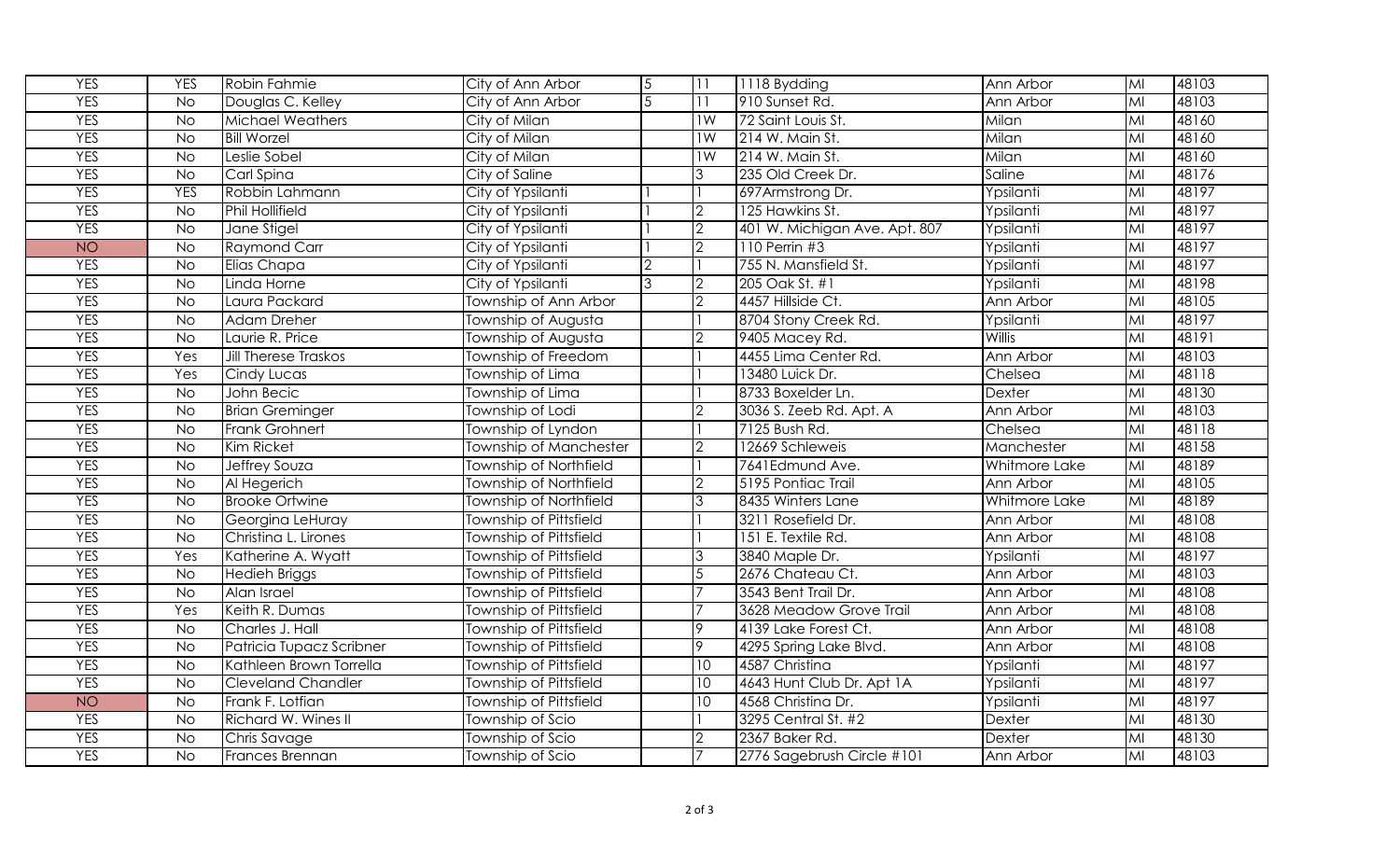| <b>YES</b> | <b>YES</b>     | Robin Fahmie                | City of Ann Arbor             | 5 |                 | 1118 Bydding                  | Ann Arbor     | M <sub>l</sub>          | 48103 |
|------------|----------------|-----------------------------|-------------------------------|---|-----------------|-------------------------------|---------------|-------------------------|-------|
| <b>YES</b> | <b>No</b>      | Douglas C. Kelley           | City of Ann Arbor             |   |                 | 910 Sunset Rd.                | Ann Arbor     | $\overline{M}$          | 48103 |
| <b>YES</b> | <b>No</b>      | <b>Michael Weathers</b>     | City of Milan                 |   | 1W              | 72 Saint Louis St.            | Milan         | MI                      | 48160 |
| <b>YES</b> | <b>No</b>      | <b>Bill Worzel</b>          | City of Milan                 |   | $\overline{1W}$ | 214 W. Main St.               | Milan         | $\overline{M}$          | 48160 |
| <b>YES</b> | <b>No</b>      | Leslie Sobel                | City of Milan                 |   | 1W              | 214 W. Main St.               | Milan         | MI                      | 48160 |
| <b>YES</b> | <b>No</b>      | Carl Spina                  | City of Saline                |   | 3               | 235 Old Creek Dr.             | Saline        | $\overline{M}$          | 48176 |
| <b>YES</b> | <b>YES</b>     | Robbin Lahmann              | City of Ypsilanti             |   |                 | 697Armstrong Dr.              | Ypsilanti     | $\overline{\mathsf{M}}$ | 48197 |
| <b>YES</b> | $\overline{N}$ | <b>Phil Hollifield</b>      | City of Ypsilanti             |   | $\overline{c}$  | 125 Hawkins St.               | Ypsilanti     | M <sub>l</sub>          | 48197 |
| <b>YES</b> | <b>No</b>      | Jane Stigel                 | City of Ypsilanti             |   | $\overline{2}$  | 401 W. Michigan Ave. Apt. 807 | Ypsilanti     | $\overline{M}$          | 48197 |
| <b>NO</b>  | <b>No</b>      | <b>Raymond Carr</b>         | City of Ypsilanti             |   | $\overline{c}$  | 110 Perrin #3                 | Ypsilanti     | M <sub>l</sub>          | 48197 |
| <b>YES</b> | $\overline{N}$ | Elias Chapa                 | City of Ypsilanti             |   |                 | 755 N. Mansfield St.          | Ypsilanti     | MI                      | 48197 |
| <b>YES</b> | $\overline{N}$ | Linda Horne                 | City of Ypsilanti             | 3 | C               | 205 Oak St. #1                | Ypsilanti     | MI                      | 48198 |
| <b>YES</b> | <b>No</b>      | Laura Packard               | Township of Ann Arbor         |   | $\mathcal{P}$   | 4457 Hillside Ct.             | Ann Arbor     | $\overline{\mathsf{M}}$ | 48105 |
| <b>YES</b> | <b>No</b>      | <b>Adam Dreher</b>          | Township of Augusta           |   |                 | 8704 Stony Creek Rd.          | Ypsilanti     | $\overline{M}$          | 48197 |
| <b>YES</b> | <b>No</b>      | Laurie R. Price             | Township of Augusta           |   |                 | 9405 Macey Rd.                | <b>Willis</b> | $\overline{M}$          | 48191 |
| <b>YES</b> | Yes            | <b>Jill Therese Traskos</b> | Township of Freedom           |   |                 | 4455 Lima Center Rd.          | Ann Arbor     | MI                      | 48103 |
| <b>YES</b> | Yes            | Cindy Lucas                 | Township of Lima              |   |                 | 13480 Luick Dr.               | Chelsea       | $\overline{M}$          | 48118 |
| <b>YES</b> | <b>No</b>      | John Becic                  | Township of Lima              |   |                 | 8733 Boxelder Ln.             | Dexter        | $\overline{M}$          | 48130 |
| <b>YES</b> | <b>No</b>      | <b>Brian Greminger</b>      | Township of Lodi              |   | $\mathcal{P}$   | 3036 S. Zeeb Rd. Apt. A       | Ann Arbor     | $\overline{M}$          | 48103 |
| <b>YES</b> | No             | <b>Frank Grohnert</b>       | Township of Lyndon            |   |                 | 7125 Bush Rd.                 | Chelsea       | M <sub>l</sub>          | 48118 |
| <b>YES</b> | $\overline{N}$ | Kim Ricket                  | Township of Manchester        |   | $\overline{2}$  | 12669 Schleweis               | Manchester    | M <sub>l</sub>          | 48158 |
| <b>YES</b> | <b>No</b>      | Jeffrey Souza               | <b>Township of Northfield</b> |   |                 | 7641Edmund Ave.               | Whitmore Lake | $\overline{M}$          | 48189 |
| <b>YES</b> | <b>No</b>      | Al Hegerich                 | Township of Northfield        |   | $\overline{2}$  | 5195 Pontiac Trail            | Ann Arbor     | $\overline{\mathsf{M}}$ | 48105 |
| <b>YES</b> | <b>No</b>      | <b>Brooke Ortwine</b>       | Township of Northfield        |   | 3               | 8435 Winters Lane             | Whitmore Lake | $\overline{M}$          | 48189 |
| <b>YES</b> | <b>No</b>      | Georgina LeHuray            | Township of Pittsfield        |   |                 | 3211 Rosefield Dr.            | Ann Arbor     | M                       | 48108 |
| <b>YES</b> | <b>No</b>      | Christina L. Lirones        | Township of Pittsfield        |   |                 | 151 E. Textile Rd.            | Ann Arbor     | $\overline{\mathsf{M}}$ | 48108 |
| <b>YES</b> | Yes            | Katherine A. Wyatt          | Township of Pittsfield        |   | IЗ              | 3840 Maple Dr.                | Ypsilanti     | $\overline{M}$          | 48197 |
| <b>YES</b> | <b>No</b>      | <b>Hedieh Briggs</b>        | Township of Pittsfield        |   | $\overline{5}$  | 2676 Chateau Ct.              | Ann Arbor     | MI                      | 48103 |
| <b>YES</b> | $\overline{N}$ | Alan Israel                 | Township of Pittsfield        |   |                 | 3543 Bent Trail Dr.           | Ann Arbor     | M <sub>l</sub>          | 48108 |
| <b>YES</b> | Yes            | Keith R. Dumas              | Township of Pittsfield        |   |                 | 3628 Meadow Grove Trail       | Ann Arbor     | $\overline{\mathsf{M}}$ | 48108 |
| <b>YES</b> | <b>No</b>      | Charles J. Hall             | Township of Pittsfield        |   | 9               | 4139 Lake Forest Ct.          | Ann Arbor     | $\overline{M}$          | 48108 |
| <b>YES</b> | <b>No</b>      | Patricia Tupacz Scribner    | Township of Pittsfield        |   | 9               | 4295 Spring Lake Blvd.        | Ann Arbor     | $\overline{\mathsf{M}}$ | 48108 |
| <b>YES</b> | $\overline{N}$ | Kathleen Brown Torrella     | Township of Pittsfield        |   | 10              | 4587 Christina                | Ypsilanti     | $\overline{\mathsf{M}}$ | 48197 |
| <b>YES</b> | <b>No</b>      | <b>Cleveland Chandler</b>   | Township of Pittsfield        |   | 10              | 4643 Hunt Club Dr. Apt 1A     | Ypsilanti     | $\overline{\mathsf{M}}$ | 48197 |
| <b>NO</b>  | $\overline{N}$ | Frank F. Lotfian            | Township of Pittsfield        |   | 10              | 4568 Christina Dr.            | Ypsilanti     | M <sub>l</sub>          | 48197 |
| <b>YES</b> | <b>No</b>      | Richard W. Wines II         | Township of Scio              |   |                 | 3295 Central St. #2           | <b>Dexter</b> | $\overline{\mathsf{M}}$ | 48130 |
| <b>YES</b> | <b>No</b>      | Chris Savage                | Township of Scio              |   | $\overline{2}$  | 2367 Baker Rd.                | Dexter        | M <sub>l</sub>          | 48130 |
| <b>YES</b> | $\overline{N}$ | Frances Brennan             | Township of Scio              |   |                 | 2776 Sagebrush Circle #101    | Ann Arbor     | $\overline{M}$          | 48103 |